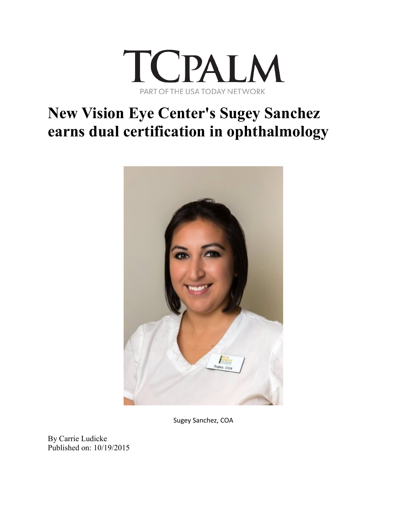

## **New Vision Eye Center's Sugey Sanchez earns dual certification in ophthalmology**



Sugey Sanchez, COA

By Carrie Ludicke Published on: 10/19/2015